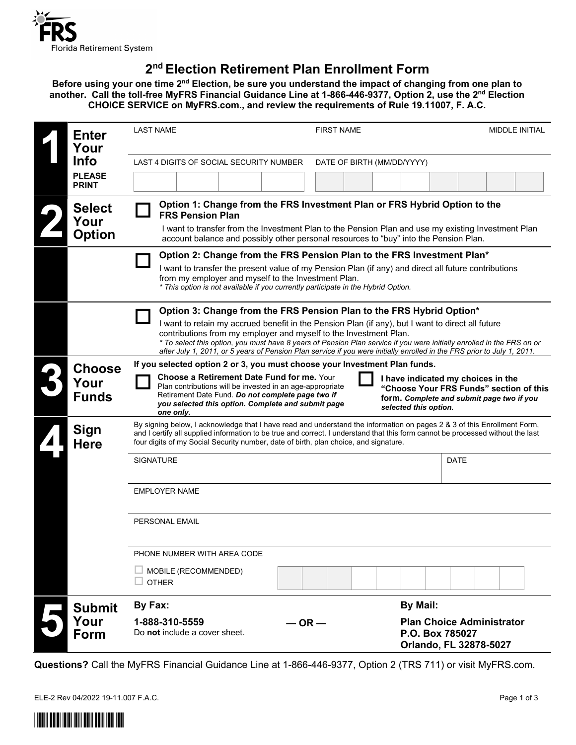

# **2nd Election Retirement Plan Enrollment Form**

**Before using your one time 2nd Election, be sure you understand the impact of changing from one plan to another. Call the toll-free MyFRS Financial Guidance Line at 1-866-446-9377, Option 2, use the 2nd Election CHOICE SERVICE on MyFRS.com., and review the requirements of Rule 19.11007, F. A.C.**

| <b>Enter</b><br>Your                   | <b>LAST NAME</b>                                                                                                                                                                                                                                                                                                                                                                                                                                                                                    | <b>FIRST NAME</b>                                                                                                                                   | <b>MIDDLE INITIAL</b>                                      |  |
|----------------------------------------|-----------------------------------------------------------------------------------------------------------------------------------------------------------------------------------------------------------------------------------------------------------------------------------------------------------------------------------------------------------------------------------------------------------------------------------------------------------------------------------------------------|-----------------------------------------------------------------------------------------------------------------------------------------------------|------------------------------------------------------------|--|
| <b>Info</b>                            | LAST 4 DIGITS OF SOCIAL SECURITY NUMBER<br>DATE OF BIRTH (MM/DD/YYYY)                                                                                                                                                                                                                                                                                                                                                                                                                               |                                                                                                                                                     |                                                            |  |
| <b>PLEASE</b><br><b>PRINT</b>          |                                                                                                                                                                                                                                                                                                                                                                                                                                                                                                     |                                                                                                                                                     |                                                            |  |
| <b>Select</b><br>Your<br><b>Option</b> | Option 1: Change from the FRS Investment Plan or FRS Hybrid Option to the<br><b>FRS Pension Plan</b><br>I want to transfer from the Investment Plan to the Pension Plan and use my existing Investment Plan<br>account balance and possibly other personal resources to "buy" into the Pension Plan.                                                                                                                                                                                                |                                                                                                                                                     |                                                            |  |
|                                        | Option 2: Change from the FRS Pension Plan to the FRS Investment Plan*<br>I want to transfer the present value of my Pension Plan (if any) and direct all future contributions<br>from my employer and myself to the Investment Plan.<br>* This option is not available if you currently participate in the Hybrid Option.                                                                                                                                                                          |                                                                                                                                                     |                                                            |  |
|                                        | Option 3: Change from the FRS Pension Plan to the FRS Hybrid Option*<br>I want to retain my accrued benefit in the Pension Plan (if any), but I want to direct all future<br>contributions from my employer and myself to the Investment Plan.<br>* To select this option, you must have 8 years of Pension Plan service if you were initially enrolled in the FRS on or<br>after July 1, 2011, or 5 years of Pension Plan service if you were initially enrolled in the FRS prior to July 1, 2011. |                                                                                                                                                     |                                                            |  |
| <b>Choose</b><br>Your<br><b>Funds</b>  | If you selected option 2 or 3, you must choose your Investment Plan funds.<br><b>Choose a Retirement Date Fund for me. Your</b><br>Plan contributions will be invested in an age-appropriate<br>Retirement Date Fund. Do not complete page two if<br>you selected this option. Complete and submit page<br>one only.                                                                                                                                                                                | I have indicated my choices in the<br>"Choose Your FRS Funds" section of this<br>form. Complete and submit page two if you<br>selected this option. |                                                            |  |
| <b>Sign</b><br><b>Here</b>             | By signing below, I acknowledge that I have read and understand the information on pages 2 & 3 of this Enrollment Form,<br>and I certify all supplied information to be true and correct. I understand that this form cannot be processed without the last<br>four digits of my Social Security number, date of birth, plan choice, and signature.                                                                                                                                                  |                                                                                                                                                     |                                                            |  |
|                                        | <b>SIGNATURE</b>                                                                                                                                                                                                                                                                                                                                                                                                                                                                                    |                                                                                                                                                     | <b>DATE</b>                                                |  |
|                                        | <b>EMPLOYER NAME</b>                                                                                                                                                                                                                                                                                                                                                                                                                                                                                |                                                                                                                                                     |                                                            |  |
|                                        | PERSONAL EMAIL                                                                                                                                                                                                                                                                                                                                                                                                                                                                                      |                                                                                                                                                     |                                                            |  |
|                                        | PHONE NUMBER WITH AREA CODE                                                                                                                                                                                                                                                                                                                                                                                                                                                                         |                                                                                                                                                     |                                                            |  |
|                                        | MOBILE (RECOMMENDED)<br><b>OTHER</b>                                                                                                                                                                                                                                                                                                                                                                                                                                                                |                                                                                                                                                     |                                                            |  |
| <b>Submit</b>                          | By Fax:<br>By Mail:                                                                                                                                                                                                                                                                                                                                                                                                                                                                                 |                                                                                                                                                     |                                                            |  |
| Your<br>Form                           | 1-888-310-5559<br>$-$ OR $-$<br>Do not include a cover sheet.                                                                                                                                                                                                                                                                                                                                                                                                                                       | P.O. Box 785027                                                                                                                                     | <b>Plan Choice Administrator</b><br>Orlando, FL 32878-5027 |  |

**Questions?** Call the MyFRS Financial Guidance Line at 1-866-446-9377, Option 2 (TRS 711) or visit MyFRS.com.

ELE-2 Rev 04/2022 19-11.007 F.A.C. Page 1 of 3

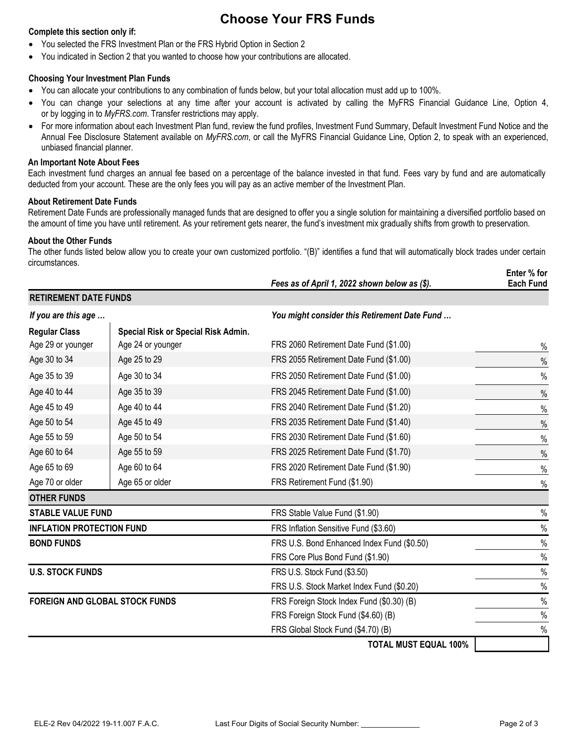## **Choose Your FRS Funds**

#### **Complete this section only if:**

- You selected the FRS Investment Plan or the FRS Hybrid Option in Section 2
- You indicated in Section 2 that you wanted to choose how your contributions are allocated.

#### **Choosing Your Investment Plan Funds**

- You can allocate your contributions to any combination of funds below, but your total allocation must add up to 100%.
- You can change your selections at any time after your account is activated by calling the MyFRS Financial Guidance Line, Option 4, or by logging in to *[MyFRS.com](http://myfrs.com/)*. Transfer restrictions may apply.
- For more information about each Investment Plan fund, review the fund profiles, Investment Fund Summary, Default Investment Fund Notice and the Annual Fee Disclosure Statement available on *MyFRS.com*, or call the MyFRS Financial Guidance Line, Option 2, to speak with an experienced, unbiased financial planner.

#### **An Important Note About Fees**

Each investment fund charges an annual fee based on a percentage of the balance invested in that fund. Fees vary by fund and are automatically deducted from your account. These are the only fees you will pay as an active member of the Investment Plan.

### **About Retirement Date Funds**

Retirement Date Funds are professionally managed funds that are designed to offer you a single solution for maintaining a diversified portfolio based on the amount of time you have until retirement. As your retirement gets nearer, the fund's investment mix gradually shifts from growth to preservation.

### **About the Other Funds**

The other funds listed below allow you to create your own customized portfolio. "(B)" identifies a fund that will automatically block trades under certain circumstances. **Enter % for**

|                                       |                                     | Fees as of April 1, 2022 shown below as (\$). | Enter % for<br><b>Each Fund</b> |
|---------------------------------------|-------------------------------------|-----------------------------------------------|---------------------------------|
| <b>RETIREMENT DATE FUNDS</b>          |                                     |                                               |                                 |
| If you are this age                   |                                     | You might consider this Retirement Date Fund  |                                 |
| <b>Regular Class</b>                  | Special Risk or Special Risk Admin. |                                               |                                 |
| Age 29 or younger                     | Age 24 or younger                   | FRS 2060 Retirement Date Fund (\$1.00)        | %                               |
| Age 30 to 34                          | Age 25 to 29                        | FRS 2055 Retirement Date Fund (\$1.00)        | $\%$                            |
| Age 35 to 39                          | Age 30 to 34                        | FRS 2050 Retirement Date Fund (\$1.00)        | $\%$                            |
| Age 40 to 44                          | Age 35 to 39                        | FRS 2045 Retirement Date Fund (\$1.00)        | $\%$                            |
| Age 45 to 49                          | Age 40 to 44                        | FRS 2040 Retirement Date Fund (\$1.20)        | $\%$                            |
| Age 50 to 54                          | Age 45 to 49                        | FRS 2035 Retirement Date Fund (\$1.40)        | $\%$                            |
| Age 55 to 59                          | Age 50 to 54                        | FRS 2030 Retirement Date Fund (\$1.60)        | $\%$                            |
| Age 60 to 64                          | Age 55 to 59                        | FRS 2025 Retirement Date Fund (\$1.70)        | $\%$                            |
| Age 65 to 69                          | Age 60 to 64                        | FRS 2020 Retirement Date Fund (\$1.90)        | $\%$                            |
| Age 70 or older                       | Age 65 or older                     | FRS Retirement Fund (\$1.90)                  | $\%$                            |
| <b>OTHER FUNDS</b>                    |                                     |                                               |                                 |
| <b>STABLE VALUE FUND</b>              |                                     | FRS Stable Value Fund (\$1.90)                | $\%$                            |
| <b>INFLATION PROTECTION FUND</b>      |                                     | FRS Inflation Sensitive Fund (\$3.60)         | $\%$                            |
| <b>BOND FUNDS</b>                     |                                     | FRS U.S. Bond Enhanced Index Fund (\$0.50)    | $\%$                            |
|                                       |                                     | FRS Core Plus Bond Fund (\$1.90)              | $\%$                            |
| <b>U.S. STOCK FUNDS</b>               |                                     | FRS U.S. Stock Fund (\$3.50)                  | $\%$                            |
|                                       |                                     | FRS U.S. Stock Market Index Fund (\$0.20)     | $\%$                            |
| <b>FOREIGN AND GLOBAL STOCK FUNDS</b> |                                     | FRS Foreign Stock Index Fund (\$0.30) (B)     | $\%$                            |
|                                       |                                     | FRS Foreign Stock Fund (\$4.60) (B)           | $\%$                            |
|                                       |                                     | FRS Global Stock Fund (\$4.70) (B)            | $\frac{0}{0}$                   |
|                                       |                                     | <b>TOTAL MUST EQUAL 100%</b>                  |                                 |